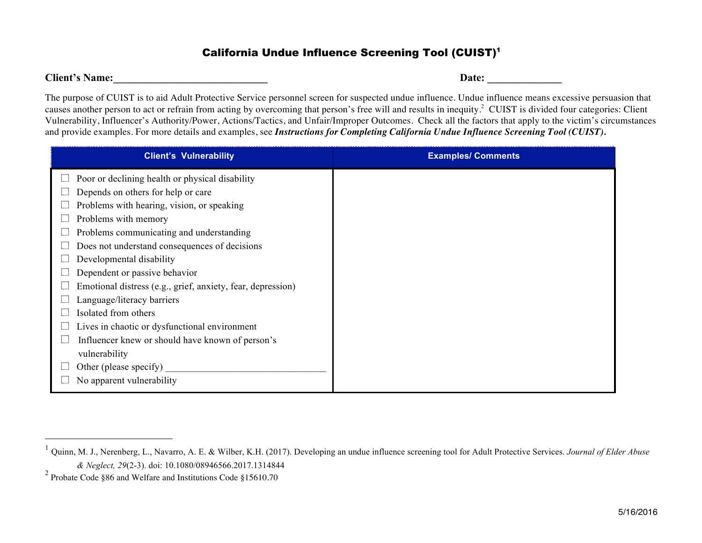## California Undue Influence Screening Tool (CUIST)1

**Client's** Name:  $\Box$ 

The purpose of CUIST is to aid Adult Protective Service personnel screen for suspected undue influence. Undue influence means excessive persuasion that causes another person to act or refrain from acting by overcoming that person's free will and results in inequity.<sup>2</sup> CUIST is divided four categories: Client Vulnerability, Influencer's Authority/Power, Actions/Tactics, and Unfair/Improper Outcomes. Check all the factors that apply to the victim's circumstances and provide examples. For more details and examples, see *Instructions for Completing California Undue Influence Screening Tool (CUIST).*

| <b>Client's Vulnerability</b>                               | <b>Examples/ Comments</b> |
|-------------------------------------------------------------|---------------------------|
| Poor or declining health or physical disability             |                           |
| Depends on others for help or care                          |                           |
| Problems with hearing, vision, or speaking                  |                           |
| Problems with memory                                        |                           |
| Problems communicating and understanding                    |                           |
| Does not understand consequences of decisions               |                           |
| Developmental disability                                    |                           |
| Dependent or passive behavior                               |                           |
| Emotional distress (e.g., grief, anxiety, fear, depression) |                           |
| Language/literacy barriers                                  |                           |
| Isolated from others                                        |                           |
| Lives in chaotic or dysfunctional environment               |                           |
| Influencer knew or should have known of person's            |                           |
| vulnerability                                               |                           |
| Other (please specify)                                      |                           |
| No apparent vulnerability                                   |                           |

 <sup>1</sup> Quinn, M. J., Nerenberg, L., Navarro, A. E. & Wilber, K.H. (2017). Developing an undue influence screening tool for Adult Protective Services. *Journal of Elder Abuse & Neglect, 29*(2-3). doi: 10.1080/08946566.2017.1314844

<sup>2</sup> Probate Code §86 and Welfare and Institutions Code §15610.70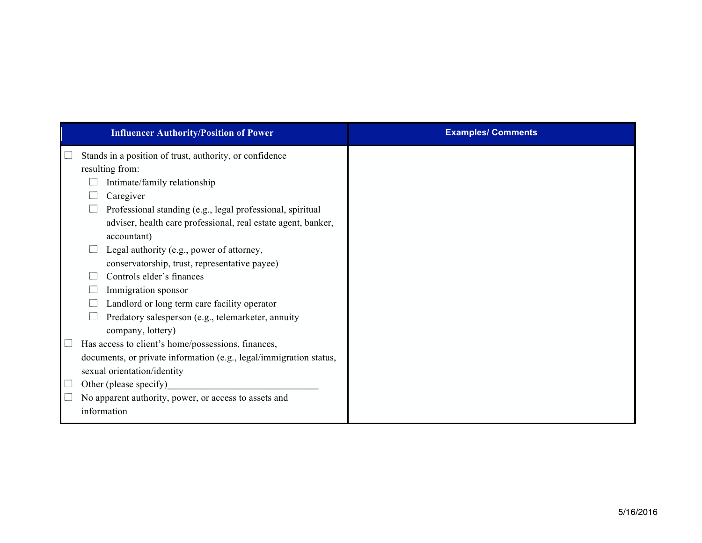| <b>Influencer Authority/Position of Power</b>                      | <b>Examples/ Comments</b> |
|--------------------------------------------------------------------|---------------------------|
| Stands in a position of trust, authority, or confidence            |                           |
| resulting from:                                                    |                           |
| Intimate/family relationship                                       |                           |
| Caregiver                                                          |                           |
| Professional standing (e.g., legal professional, spiritual         |                           |
| adviser, health care professional, real estate agent, banker,      |                           |
| accountant)                                                        |                           |
| Legal authority (e.g., power of attorney,                          |                           |
| conservatorship, trust, representative payee)                      |                           |
| Controls elder's finances                                          |                           |
| Immigration sponsor                                                |                           |
| Landlord or long term care facility operator                       |                           |
| Predatory salesperson (e.g., telemarketer, annuity                 |                           |
| company, lottery)                                                  |                           |
| Has access to client's home/possessions, finances,                 |                           |
| documents, or private information (e.g., legal/immigration status, |                           |
| sexual orientation/identity                                        |                           |
| Other (please specify)                                             |                           |
| No apparent authority, power, or access to assets and              |                           |
| information                                                        |                           |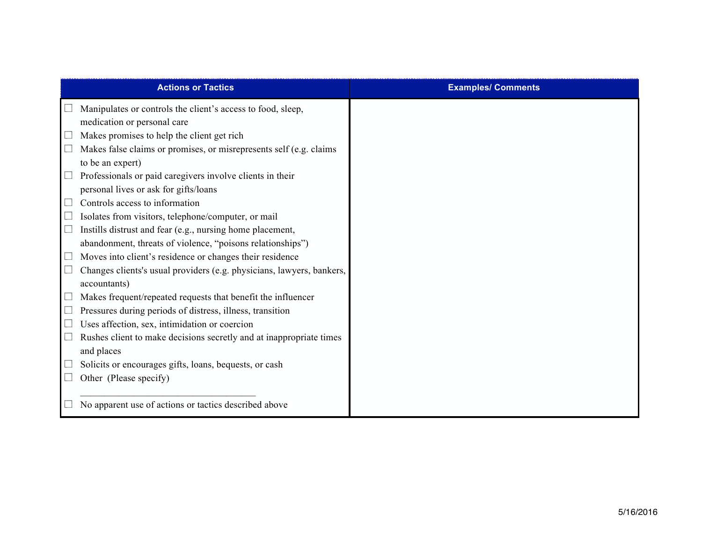|                                       | <b>Actions or Tactics</b>                                             | <b>Examples/ Comments</b> |
|---------------------------------------|-----------------------------------------------------------------------|---------------------------|
|                                       | Manipulates or controls the client's access to food, sleep,           |                           |
|                                       | medication or personal care                                           |                           |
| $\mathcal{L}_{\mathcal{A}}$           | Makes promises to help the client get rich                            |                           |
| $\mathcal{L}_{\mathcal{A}}$           | Makes false claims or promises, or misrepresents self (e.g. claims    |                           |
|                                       | to be an expert)                                                      |                           |
| $\mathcal{L}_{\mathcal{A}}$           | Professionals or paid caregivers involve clients in their             |                           |
|                                       | personal lives or ask for gifts/loans                                 |                           |
| $\mathcal{L}_{\mathcal{A}}$           | Controls access to information                                        |                           |
| $\overline{\phantom{a}}$              | Isolates from visitors, telephone/computer, or mail                   |                           |
| $\overline{\phantom{a}}$              | Instills distrust and fear (e.g., nursing home placement,             |                           |
|                                       | abandonment, threats of violence, "poisons relationships")            |                           |
| $\mathcal{L}_{\mathcal{A}}$           | Moves into client's residence or changes their residence              |                           |
| $\overline{\phantom{a}}$              | Changes clients's usual providers (e.g. physicians, lawyers, bankers, |                           |
|                                       | accountants)                                                          |                           |
| $\overline{\phantom{a}}$              | Makes frequent/repeated requests that benefit the influencer          |                           |
| $\overline{\phantom{a}}$              | Pressures during periods of distress, illness, transition             |                           |
| $\Box$                                | Uses affection, sex, intimidation or coercion                         |                           |
| $\Box$                                | Rushes client to make decisions secretly and at inappropriate times   |                           |
|                                       | and places                                                            |                           |
| $\begin{array}{c} \hline \end{array}$ | Solicits or encourages gifts, loans, bequests, or cash                |                           |
|                                       | Other (Please specify)                                                |                           |
|                                       | No apparent use of actions or tactics described above                 |                           |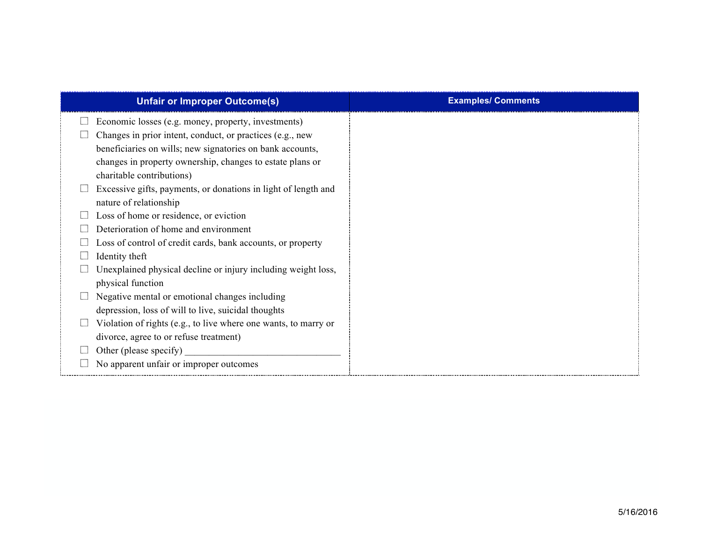| <b>Unfair or Improper Outcome(s)</b>                            | <b>Examples/ Comments</b> |
|-----------------------------------------------------------------|---------------------------|
| Economic losses (e.g. money, property, investments)             |                           |
| Changes in prior intent, conduct, or practices (e.g., new       |                           |
| beneficiaries on wills; new signatories on bank accounts,       |                           |
| changes in property ownership, changes to estate plans or       |                           |
| charitable contributions)                                       |                           |
| Excessive gifts, payments, or donations in light of length and  |                           |
| nature of relationship                                          |                           |
| Loss of home or residence, or eviction                          |                           |
| Deterioration of home and environment                           |                           |
| Loss of control of credit cards, bank accounts, or property     |                           |
| Identity theft                                                  |                           |
| Unexplained physical decline or injury including weight loss,   |                           |
| physical function                                               |                           |
| Negative mental or emotional changes including                  |                           |
| depression, loss of will to live, suicidal thoughts             |                           |
| Violation of rights (e.g., to live where one wants, to marry or |                           |
| divorce, agree to or refuse treatment)                          |                           |
| Other (please specify)                                          |                           |
| No apparent unfair or improper outcomes                         |                           |